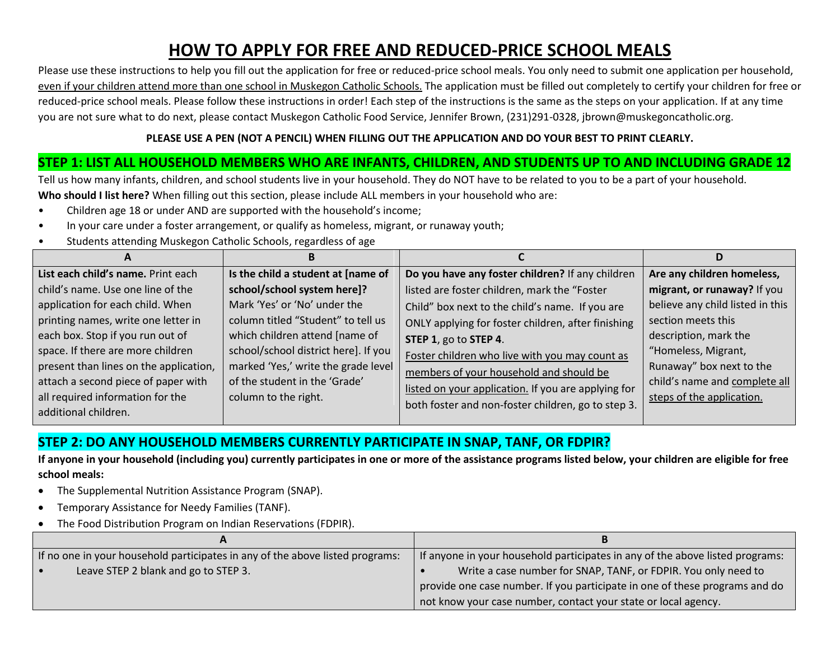# **HOW TO APPLY FOR FREE AND REDUCED-PRICE SCHOOL MEALS**

Please use these instructions to help you fill out the application for free or reduced-price school meals. You only need to submit one application per household, even if your children attend more than one school in Muskegon Catholic Schools. The application must be filled out completely to certify your children for free or reduced-price school meals. Please follow these instructions in order! Each step of the instructions is the same as the steps on your application. If at any time you are not sure what to do next, please contact Muskegon Catholic Food Service, Jennifer Brown, (231)291-0328, jbrown@muskegoncatholic.org.

### **PLEASE USE A PEN (NOT A PENCIL) WHEN FILLING OUT THE APPLICATION AND DO YOUR BEST TO PRINT CLEARLY.**

# **STEP 1: LIST ALL HOUSEHOLD MEMBERS WHO ARE INFANTS, CHILDREN, AND STUDENTS UP TO AND INCLUDING GRADE 12**

Tell us how many infants, children, and school students live in your household. They do NOT have to be related to you to be a part of your household. **Who should I list here?** When filling out this section, please include ALL members in your household who are:

- Children age 18 or under AND are supported with the household's income;
- In your care under a foster arrangement, or qualify as homeless, migrant, or runaway youth;
- Students attending Muskegon Catholic Schools, regardless of age

| $\boldsymbol{\mathsf{A}}$              |                                      |                                                     |                                  |
|----------------------------------------|--------------------------------------|-----------------------------------------------------|----------------------------------|
| List each child's name. Print each     | Is the child a student at [name of   | Do you have any foster children? If any children    | Are any children homeless,       |
| child's name. Use one line of the      | school/school system here]?          | listed are foster children, mark the "Foster        | migrant, or runaway? If you      |
| application for each child. When       | Mark 'Yes' or 'No' under the         | Child" box next to the child's name. If you are     | believe any child listed in this |
| printing names, write one letter in    | column titled "Student" to tell us   | ONLY applying for foster children, after finishing  | section meets this               |
| each box. Stop if you run out of       | which children attend [name of       | STEP 1, go to STEP 4.                               | description, mark the            |
| space. If there are more children      | school/school district here]. If you | Foster children who live with you may count as      | "Homeless, Migrant,              |
| present than lines on the application, | marked 'Yes,' write the grade level  | members of your household and should be             | Runaway" box next to the         |
| attach a second piece of paper with    | of the student in the 'Grade'        | listed on your application. If you are applying for | child's name and complete all    |
| all required information for the       | column to the right.                 | both foster and non-foster children, go to step 3.  | steps of the application.        |
| additional children.                   |                                      |                                                     |                                  |

# **STEP 2: DO ANY HOUSEHOLD MEMBERS CURRENTLY PARTICIPATE IN SNAP, TANF, OR FDPIR?**

**If anyone in your household (including you) currently participates in one or more of the assistance programs listed below, your children are eligible for free school meals:**

- The Supplemental Nutrition Assistance Program (SNAP).
- Temporary Assistance for Needy Families (TANF).
- The Food Distribution Program on Indian Reservations (FDPIR).

| If no one in your household participates in any of the above listed programs: | If anyone in your household participates in any of the above listed programs: |  |
|-------------------------------------------------------------------------------|-------------------------------------------------------------------------------|--|
| Leave STEP 2 blank and go to STEP 3.                                          | Write a case number for SNAP, TANF, or FDPIR. You only need to                |  |
|                                                                               | provide one case number. If you participate in one of these programs and do   |  |
|                                                                               | not know your case number, contact your state or local agency.                |  |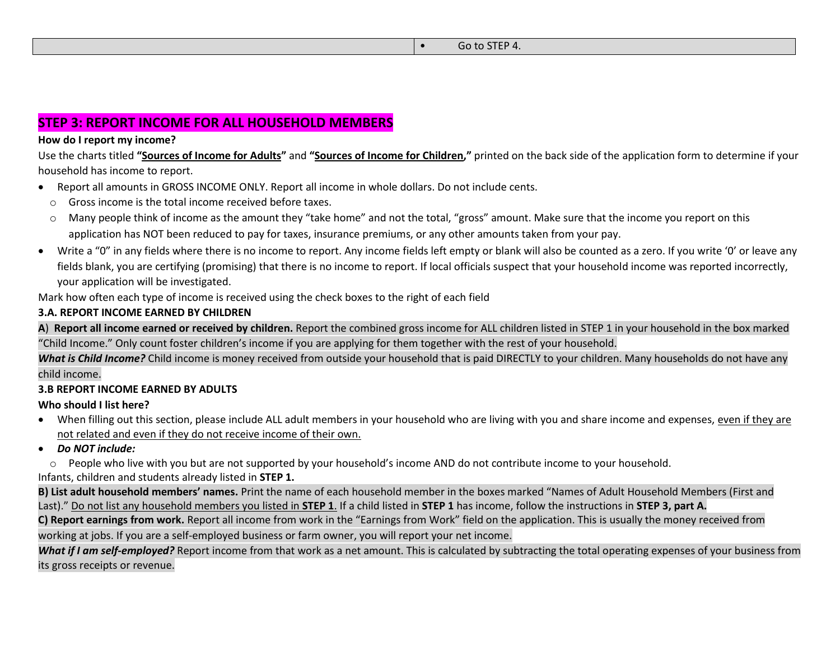## **STEP 3: REPORT INCOME FOR ALL HOUSEHOLD MEMBERS**

#### **How do I report my income?**

Use the charts titled **"Sources of Income for Adults"** and **"Sources of Income for Children,"** printed on the back side of the application form to determine if your household has income to report.

- Report all amounts in GROSS INCOME ONLY. Report all income in whole dollars. Do not include cents.
- o Gross income is the total income received before taxes.
- Many people think of income as the amount they "take home" and not the total, "gross" amount. Make sure that the income you report on this application has NOT been reduced to pay for taxes, insurance premiums, or any other amounts taken from your pay.
- Write a "0" in any fields where there is no income to report. Any income fields left empty or blank will also be counted as a zero. If you write '0' or leave any fields blank, you are certifying (promising) that there is no income to report. If local officials suspect that your household income was reported incorrectly, your application will be investigated.

Mark how often each type of income is received using the check boxes to the right of each field

### **3.A. REPORT INCOME EARNED BY CHILDREN**

**A**) **Report all income earned or received by children.** Report the combined gross income for ALL children listed in STEP 1 in your household in the box marked "Child Income." Only count foster children's income if you are applying for them together with the rest of your household.

*What is Child Income?* Child income is money received from outside your household that is paid DIRECTLY to your children. Many households do not have any child income.

### **3.B REPORT INCOME EARNED BY ADULTS**

### **Who should I list here?**

- When filling out this section, please include ALL adult members in your household who are living with you and share income and expenses, even if they are not related and even if they do not receive income of their own.
- *Do NOT include:*
- $\circ$  People who live with you but are not supported by your household's income AND do not contribute income to your household.

Infants, children and students already listed in **STEP 1.**

**B) List adult household members' names.** Print the name of each household member in the boxes marked "Names of Adult Household Members (First and Last)." Do not list any household members you listed in **STEP 1**. If a child listed in **STEP 1** has income, follow the instructions in **STEP 3, part A.**

**C) Report earnings from work.** Report all income from work in the "Earnings from Work" field on the application. This is usually the money received from

working at jobs. If you are a self-employed business or farm owner, you will report your net income.

What if I am self-employed? Report income from that work as a net amount. This is calculated by subtracting the total operating expenses of your business from its gross receipts or revenue.